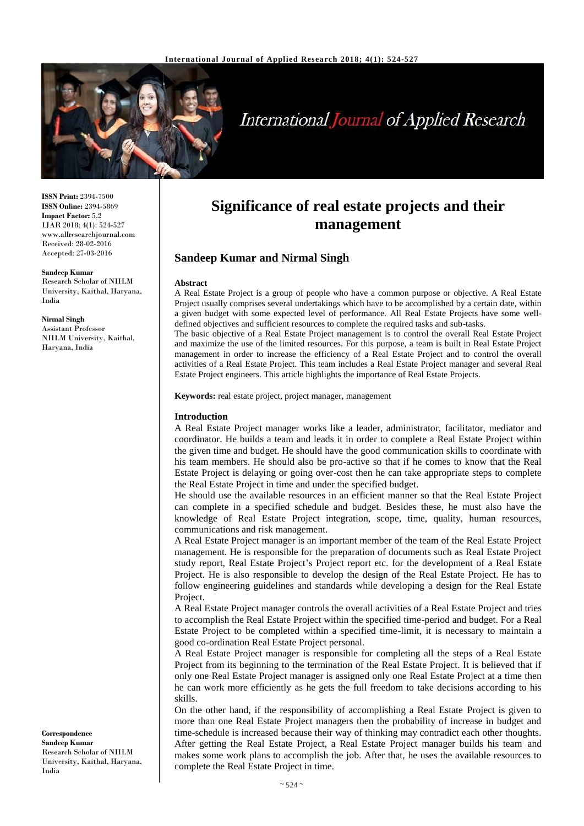

# **International Journal of Applied Research**

**ISSN Print:** 2394-7500 **ISSN Online:** 2394-5869 **Impact Factor:** 5.2 IJAR 2018; 4(1): 524-527 www.allresearchjournal.com Received: 28-02-2016 Accepted: 27-03-2016

#### **Sandeep Kumar**

Research Scholar of NIILM University, Kaithal, Haryana, India

**Nirmal Singh** Assistant Professor NIILM University, Kaithal, Haryana, India

**Correspondence Sandeep Kumar** Research Scholar of NIILM University, Kaithal, Haryana, India

# **Significance of real estate projects and their management**

# **Sandeep Kumar and Nirmal Singh**

#### **Abstract**

A Real Estate Project is a group of people who have a common purpose or objective. A Real Estate Project usually comprises several undertakings which have to be accomplished by a certain date, within a given budget with some expected level of performance. All Real Estate Projects have some welldefined objectives and sufficient resources to complete the required tasks and sub-tasks.

The basic objective of a Real Estate Project management is to control the overall Real Estate Project and maximize the use of the limited resources. For this purpose, a team is built in Real Estate Project management in order to increase the efficiency of a Real Estate Project and to control the overall activities of a Real Estate Project. This team includes a Real Estate Project manager and several Real Estate Project engineers. This article highlights the importance of Real Estate Projects.

**Keywords:** real estate project, project manager, management

#### **Introduction**

A Real Estate Project manager works like a leader, administrator, facilitator, mediator and coordinator. He builds a team and leads it in order to complete a Real Estate Project within the given time and budget. He should have the good communication skills to coordinate with his team members. He should also be pro-active so that if he comes to know that the Real Estate Project is delaying or going over-cost then he can take appropriate steps to complete the Real Estate Project in time and under the specified budget.

He should use the available resources in an efficient manner so that the Real Estate Project can complete in a specified schedule and budget. Besides these, he must also have the knowledge of Real Estate Project integration, scope, time, quality, human resources, communications and risk management.

A Real Estate Project manager is an important member of the team of the Real Estate Project management. He is responsible for the preparation of documents such as Real Estate Project study report, Real Estate Project's Project report etc. for the development of a Real Estate Project. He is also responsible to develop the design of the Real Estate Project. He has to follow engineering guidelines and standards while developing a design for the Real Estate Project.

A Real Estate Project manager controls the overall activities of a Real Estate Project and tries to accomplish the Real Estate Project within the specified time-period and budget. For a Real Estate Project to be completed within a specified time-limit, it is necessary to maintain a good co-ordination Real Estate Project personal.

A Real Estate Project manager is responsible for completing all the steps of a Real Estate Project from its beginning to the termination of the Real Estate Project. It is believed that if only one Real Estate Project manager is assigned only one Real Estate Project at a time then he can work more efficiently as he gets the full freedom to take decisions according to his skills.

On the other hand, if the responsibility of accomplishing a Real Estate Project is given to more than one Real Estate Project managers then the probability of increase in budget and time-schedule is increased because their way of thinking may contradict each other thoughts. After getting the Real Estate Project, a Real Estate Project manager builds his team and makes some work plans to accomplish the job. After that, he uses the available resources to complete the Real Estate Project in time.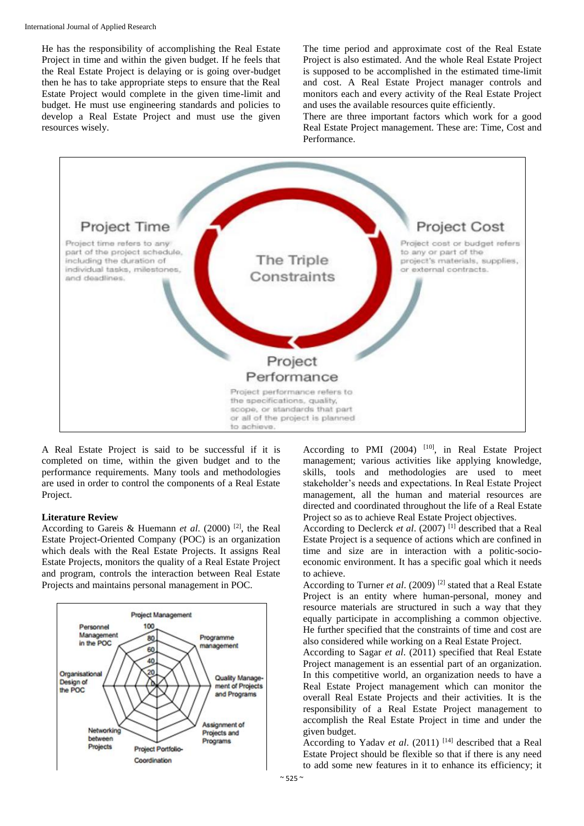He has the responsibility of accomplishing the Real Estate Project in time and within the given budget. If he feels that the Real Estate Project is delaying or is going over-budget then he has to take appropriate steps to ensure that the Real Estate Project would complete in the given time-limit and budget. He must use engineering standards and policies to develop a Real Estate Project and must use the given resources wisely.

The time period and approximate cost of the Real Estate Project is also estimated. And the whole Real Estate Project is supposed to be accomplished in the estimated time-limit and cost. A Real Estate Project manager controls and monitors each and every activity of the Real Estate Project and uses the available resources quite efficiently.

There are three important factors which work for a good Real Estate Project management. These are: Time, Cost and Performance.



A Real Estate Project is said to be successful if it is completed on time, within the given budget and to the performance requirements. Many tools and methodologies are used in order to control the components of a Real Estate Project.

#### **Literature Review**

According to Gareis & Huemann *et al*. (2000) [2], the Real Estate Project-Oriented Company (POC) is an organization which deals with the Real Estate Projects. It assigns Real Estate Projects, monitors the quality of a Real Estate Project and program, controls the interaction between Real Estate Projects and maintains personal management in POC.



According to PMI (2004) <sup>[10]</sup>, in Real Estate Project management; various activities like applying knowledge, skills, tools and methodologies are used to meet stakeholder's needs and expectations. In Real Estate Project management, all the human and material resources are directed and coordinated throughout the life of a Real Estate Project so as to achieve Real Estate Project objectives.

According to Declerck *et al.* (2007)<sup>[1]</sup> described that a Real Estate Project is a sequence of actions which are confined in time and size are in interaction with a politic-socioeconomic environment. It has a specific goal which it needs to achieve.

According to Turner *et al*. (2009) [2] stated that a Real Estate Project is an entity where human-personal, money and resource materials are structured in such a way that they equally participate in accomplishing a common objective. He further specified that the constraints of time and cost are also considered while working on a Real Estate Project.

According to Sagar *et al*. (2011) specified that Real Estate Project management is an essential part of an organization. In this competitive world, an organization needs to have a Real Estate Project management which can monitor the overall Real Estate Projects and their activities. It is the responsibility of a Real Estate Project management to accomplish the Real Estate Project in time and under the given budget.

According to Yadav *et al.* (2011) <sup>[14]</sup> described that a Real Estate Project should be flexible so that if there is any need to add some new features in it to enhance its efficiency; it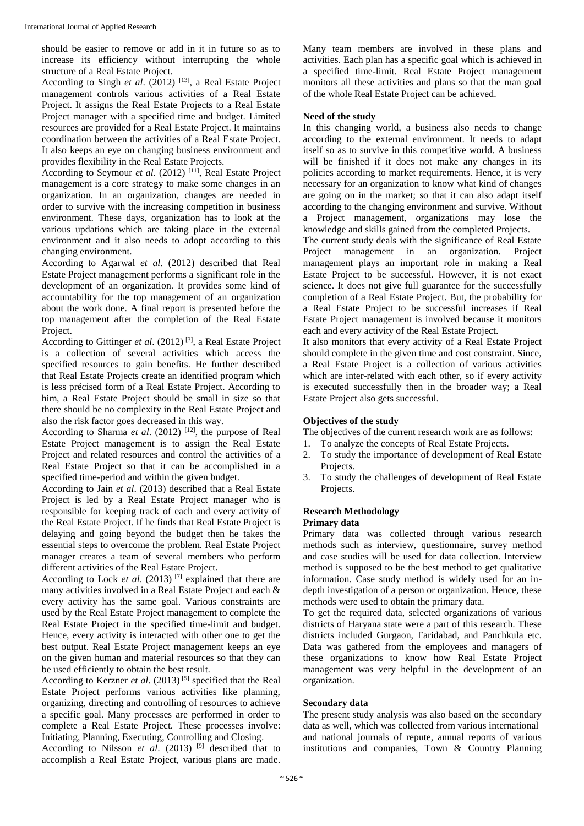should be easier to remove or add in it in future so as to increase its efficiency without interrupting the whole structure of a Real Estate Project.

According to Singh *et al*. (2012) [13], a Real Estate Project management controls various activities of a Real Estate Project. It assigns the Real Estate Projects to a Real Estate Project manager with a specified time and budget. Limited resources are provided for a Real Estate Project. It maintains coordination between the activities of a Real Estate Project. It also keeps an eye on changing business environment and provides flexibility in the Real Estate Projects.

According to Seymour *et al.* (2012) <sup>[11]</sup>, Real Estate Project management is a core strategy to make some changes in an organization. In an organization, changes are needed in order to survive with the increasing competition in business environment. These days, organization has to look at the various updations which are taking place in the external environment and it also needs to adopt according to this changing environment.

According to Agarwal *et al*. (2012) described that Real Estate Project management performs a significant role in the development of an organization. It provides some kind of accountability for the top management of an organization about the work done. A final report is presented before the top management after the completion of the Real Estate Project.

According to Gittinger *et al.* (2012)<sup>[3]</sup>, a Real Estate Project is a collection of several activities which access the specified resources to gain benefits. He further described that Real Estate Projects create an identified program which is less précised form of a Real Estate Project. According to him, a Real Estate Project should be small in size so that there should be no complexity in the Real Estate Project and also the risk factor goes decreased in this way.

According to Sharma *et al.* (2012) <sup>[12]</sup>, the purpose of Real Estate Project management is to assign the Real Estate Project and related resources and control the activities of a Real Estate Project so that it can be accomplished in a specified time-period and within the given budget.

According to Jain *et al*. (2013) described that a Real Estate Project is led by a Real Estate Project manager who is responsible for keeping track of each and every activity of the Real Estate Project. If he finds that Real Estate Project is delaying and going beyond the budget then he takes the essential steps to overcome the problem. Real Estate Project manager creates a team of several members who perform different activities of the Real Estate Project.

According to Lock *et al*. (2013) [7] explained that there are many activities involved in a Real Estate Project and each & every activity has the same goal. Various constraints are used by the Real Estate Project management to complete the Real Estate Project in the specified time-limit and budget. Hence, every activity is interacted with other one to get the best output. Real Estate Project management keeps an eye on the given human and material resources so that they can be used efficiently to obtain the best result.

According to Kerzner *et al.* (2013)<sup>[5]</sup> specified that the Real Estate Project performs various activities like planning, organizing, directing and controlling of resources to achieve a specific goal. Many processes are performed in order to complete a Real Estate Project. These processes involve: Initiating, Planning, Executing, Controlling and Closing.

According to Nilsson *et al*. (2013) [9] described that to accomplish a Real Estate Project, various plans are made. Many team members are involved in these plans and activities. Each plan has a specific goal which is achieved in a specified time-limit. Real Estate Project management monitors all these activities and plans so that the man goal of the whole Real Estate Project can be achieved.

#### **Need of the study**

In this changing world, a business also needs to change according to the external environment. It needs to adapt itself so as to survive in this competitive world. A business will be finished if it does not make any changes in its policies according to market requirements. Hence, it is very necessary for an organization to know what kind of changes are going on in the market; so that it can also adapt itself according to the changing environment and survive. Without a Project management, organizations may lose the knowledge and skills gained from the completed Projects.

The current study deals with the significance of Real Estate Project management in an organization. Project management plays an important role in making a Real Estate Project to be successful. However, it is not exact science. It does not give full guarantee for the successfully completion of a Real Estate Project. But, the probability for a Real Estate Project to be successful increases if Real Estate Project management is involved because it monitors each and every activity of the Real Estate Project.

It also monitors that every activity of a Real Estate Project should complete in the given time and cost constraint. Since, a Real Estate Project is a collection of various activities which are inter-related with each other, so if every activity is executed successfully then in the broader way; a Real Estate Project also gets successful.

#### **Objectives of the study**

The objectives of the current research work are as follows:

- 1. To analyze the concepts of Real Estate Projects.
- 2. To study the importance of development of Real Estate Projects.
- 3. To study the challenges of development of Real Estate Projects.

#### **Research Methodology**

#### **Primary data**

Primary data was collected through various research methods such as interview, questionnaire, survey method and case studies will be used for data collection. Interview method is supposed to be the best method to get qualitative information. Case study method is widely used for an indepth investigation of a person or organization. Hence, these methods were used to obtain the primary data.

To get the required data, selected organizations of various districts of Haryana state were a part of this research. These districts included Gurgaon, Faridabad, and Panchkula etc. Data was gathered from the employees and managers of these organizations to know how Real Estate Project management was very helpful in the development of an organization.

#### **Secondary data**

The present study analysis was also based on the secondary data as well, which was collected from various international and national journals of repute, annual reports of various institutions and companies, Town & Country Planning